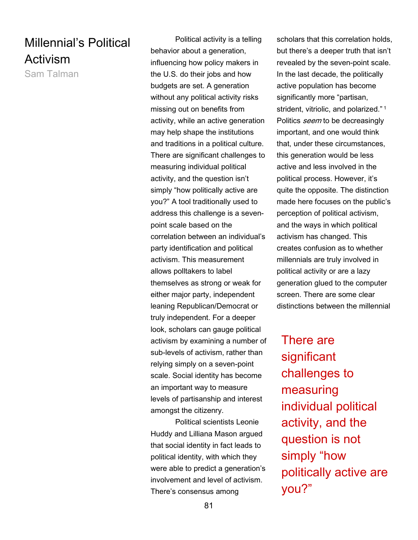## Millennial's Political Activism

Sam Talman

Political activity is a telling behavior about a generation, influencing how policy makers in the U.S. do their jobs and how budgets are set. A generation without any political activity risks missing out on benefits from activity, while an active generation may help shape the institutions and traditions in a political culture. There are significant challenges to measuring individual political activity, and the question isn't simply "how politically active are you?" A tool traditionally used to address this challenge is a sevenpoint scale based on the correlation between an individual's party identification and political activism. This measurement allows polltakers to label themselves as strong or weak for either major party, independent leaning Republican/Democrat or truly independent. For a deeper look, scholars can gauge political activism by examining a number of sub-levels of activism, rather than relying simply on a seven-point scale. Social identity has become an important way to measure levels of partisanship and interest amongst the citizenry.

Political scientists Leonie Huddy and Lilliana Mason argued that social identity in fact leads to political identity, with which they were able to predict a generation's involvement and level of activism. There's consensus among

scholars that this correlation holds, but there's a deeper truth that isn't revealed by the seven-point scale. In the last decade, the politically active population has become significantly more "partisan, strident, vitriolic, and polarized."<sup>1</sup> Politics *seem* to be decreasingly important, and one would think that, under these circumstances, this generation would be less active and less involved in the political process. However, it's quite the opposite. The distinction made here focuses on the public's perception of political activism, and the ways in which political activism has changed. This creates confusion as to whether millennials are truly involved in political activity or are a lazy generation glued to the computer screen. There are some clear distinctions between the millennial

There are significant challenges to measuring individual political activity, and the question is not simply "how politically active are you?"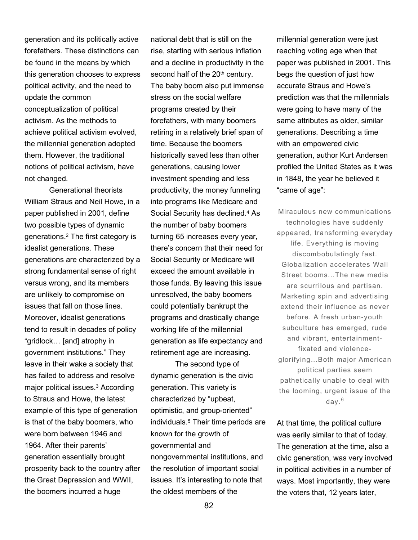generation and its politically active forefathers. These distinctions can be found in the means by which this generation chooses to express political activity, and the need to update the common conceptualization of political activism. As the methods to achieve political activism evolved, the millennial generation adopted them. However, the traditional notions of political activism, have not changed.

Generational theorists William Straus and Neil Howe, in a paper published in 2001, define two possible types of dynamic generations.<sup>2</sup> The first category is idealist generations. These generations are characterized by a strong fundamental sense of right versus wrong, and its members are unlikely to compromise on issues that fall on those lines. Moreover, idealist generations tend to result in decades of policy "gridlock… [and] atrophy in government institutions." They leave in their wake a society that has failed to address and resolve major political issues.<sup>3</sup> According to Straus and Howe, the latest example of this type of generation is that of the baby boomers, who were born between 1946 and 1964. After their parents' generation essentially brought prosperity back to the country after the Great Depression and WWII, the boomers incurred a huge

national debt that is still on the rise, starting with serious inflation and a decline in productivity in the second half of the 20<sup>th</sup> century. The baby boom also put immense stress on the social welfare programs created by their forefathers, with many boomers retiring in a relatively brief span of time. Because the boomers historically saved less than other generations, causing lower investment spending and less productivity, the money funneling into programs like Medicare and Social Security has declined.<sup>4</sup> As the number of baby boomers turning 65 increases every year, there's concern that their need for Social Security or Medicare will exceed the amount available in those funds. By leaving this issue unresolved, the baby boomers could potentially bankrupt the programs and drastically change working life of the millennial generation as life expectancy and retirement age are increasing. The second type of

dynamic generation is the civic generation. This variety is characterized by "upbeat, optimistic, and group-oriented" individuals.<sup>5</sup> Their time periods are known for the growth of governmental and nongovernmental institutions, and the resolution of important social issues. It's interesting to note that the oldest members of the

millennial generation were just reaching voting age when that paper was published in 2001. This begs the question of just how accurate Straus and Howe's prediction was that the millennials were going to have many of the same attributes as older, similar generations. Describing a time with an empowered civic generation, author Kurt Andersen profiled the United States as it was in 1848, the year he believed it "came of age":

Miraculous new communications technologies have suddenly appeared, transforming everyday life. Everything is moving discombobulatingly fast. Globalization accelerates Wall Street booms...The new media are scurrilous and partisan. Marketing spin and advertising extend their influence as never before. A fresh urban-youth subculture has emerged, rude and vibrant, entertainmentfixated and violenceglorifying…Both major American political parties seem pathetically unable to deal with the looming, urgent issue of the day.<sup>6</sup>

At that time, the political culture was eerily similar to that of today. The generation at the time, also a civic generation, was very involved in political activities in a number of ways. Most importantly, they were the voters that, 12 years later,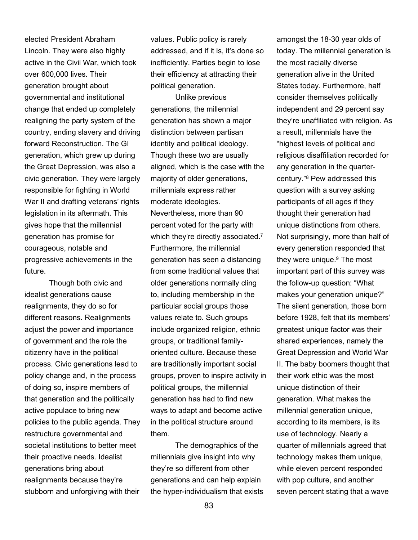elected President Abraham Lincoln. They were also highly active in the Civil War, which took over 600,000 lives. Their generation brought about governmental and institutional change that ended up completely realigning the party system of the country, ending slavery and driving forward Reconstruction. The GI generation, which grew up during the Great Depression, was also a civic generation. They were largely responsible for fighting in World War II and drafting veterans' rights legislation in its aftermath. This gives hope that the millennial generation has promise for courageous, notable and progressive achievements in the future.

 Though both civic and idealist generations cause realignments, they do so for different reasons. Realignments adjust the power and importance of government and the role the citizenry have in the political process. Civic generations lead to policy change and, in the process of doing so, inspire members of that generation and the politically active populace to bring new policies to the public agenda. They restructure governmental and societal institutions to better meet their proactive needs. Idealist generations bring about realignments because they're stubborn and unforgiving with their

values. Public policy is rarely addressed, and if it is, it's done so inefficiently. Parties begin to lose their efficiency at attracting their political generation.

 Unlike previous generations, the millennial generation has shown a major distinction between partisan identity and political ideology. Though these two are usually aligned, which is the case with the majority of older generations, millennials express rather moderate ideologies. Nevertheless, more than 90 percent voted for the party with which they're directly associated.<sup>7</sup> Furthermore, the millennial generation has seen a distancing from some traditional values that older generations normally cling to, including membership in the particular social groups those values relate to. Such groups include organized religion, ethnic groups, or traditional familyoriented culture. Because these are traditionally important social groups, proven to inspire activity in political groups, the millennial generation has had to find new ways to adapt and become active in the political structure around them.

 The demographics of the millennials give insight into why they're so different from other generations and can help explain the hyper-individualism that exists amongst the 18-30 year olds of today. The millennial generation is the most racially diverse generation alive in the United States today. Furthermore, half consider themselves politically independent and 29 percent say they're unaffiliated with religion. As a result, millennials have the "highest levels of political and religious disaffiliation recorded for any generation in the quartercentury."<sup>8</sup> Pew addressed this question with a survey asking participants of all ages if they thought their generation had unique distinctions from others. Not surprisingly, more than half of every generation responded that they were unique.<sup>9</sup> The most important part of this survey was the follow-up question: "What makes your generation unique?" The silent generation, those born before 1928, felt that its members' greatest unique factor was their shared experiences, namely the Great Depression and World War II. The baby boomers thought that their work ethic was the most unique distinction of their generation. What makes the millennial generation unique, according to its members, is its use of technology. Nearly a quarter of millennials agreed that technology makes them unique, while eleven percent responded with pop culture, and another seven percent stating that a wave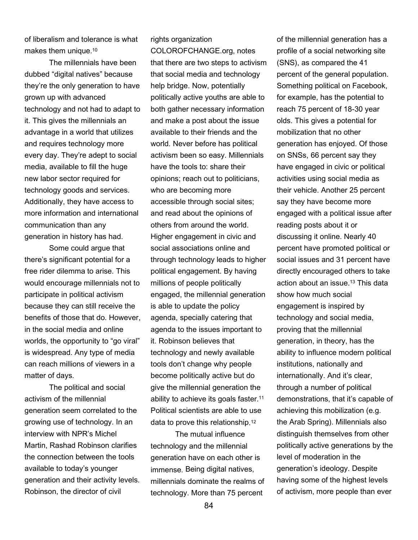of liberalism and tolerance is what makes them unique.<sup>10</sup>

The millennials have been dubbed "digital natives" because they're the only generation to have grown up with advanced technology and not had to adapt to it. This gives the millennials an advantage in a world that utilizes and requires technology more every day. They're adept to social media, available to fill the huge new labor sector required for technology goods and services. Additionally, they have access to more information and international communication than any generation in history has had.

Some could argue that there's significant potential for a free rider dilemma to arise. This would encourage millennials not to participate in political activism because they can still receive the benefits of those that do. However, in the social media and online worlds, the opportunity to "go viral" is widespread. Any type of media can reach millions of viewers in a matter of days.

 The political and social activism of the millennial generation seem correlated to the growing use of technology. In an interview with NPR's Michel Martin, Rashad Robinson clarifies the connection between the tools available to today's younger generation and their activity levels. Robinson, the director of civil

rights organization COLOROFCHANGE.org, notes that there are two steps to activism that social media and technology help bridge. Now, potentially politically active youths are able to both gather necessary information and make a post about the issue available to their friends and the world. Never before has political activism been so easy. Millennials have the tools to: share their opinions; reach out to politicians, who are becoming more accessible through social sites; and read about the opinions of others from around the world. Higher engagement in civic and social associations online and through technology leads to higher political engagement. By having millions of people politically engaged, the millennial generation is able to update the policy agenda, specially catering that agenda to the issues important to it. Robinson believes that technology and newly available tools don't change why people become politically active but do give the millennial generation the ability to achieve its goals faster.<sup>11</sup> Political scientists are able to use data to prove this relationship. 12

The mutual influence technology and the millennial generation have on each other is immense. Being digital natives, millennials dominate the realms of technology. More than 75 percent

of the millennial generation has a profile of a social networking site (SNS), as compared the 41 percent of the general population. Something political on Facebook, for example, has the potential to reach 75 percent of 18-30 year olds. This gives a potential for mobilization that no other generation has enjoyed. Of those on SNSs, 66 percent say they have engaged in civic or political activities using social media as their vehicle. Another 25 percent say they have become more engaged with a political issue after reading posts about it or discussing it online. Nearly 40 percent have promoted political or social issues and 31 percent have directly encouraged others to take action about an issue.13 This data show how much social engagement is inspired by technology and social media, proving that the millennial generation, in theory, has the ability to influence modern political institutions, nationally and internationally. And it's clear, through a number of political demonstrations, that it's capable of achieving this mobilization (e.g. the Arab Spring). Millennials also distinguish themselves from other politically active generations by the level of moderation in the generation's ideology. Despite having some of the highest levels of activism, more people than ever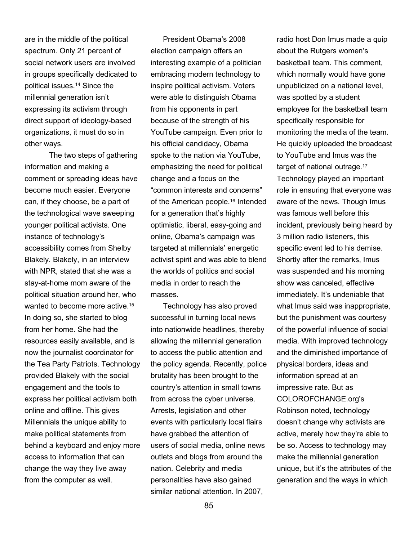are in the middle of the political spectrum. Only 21 percent of social network users are involved in groups specifically dedicated to political issues.14 Since the millennial generation isn't expressing its activism through direct support of ideology-based organizations, it must do so in other ways.

 The two steps of gathering information and making a comment or spreading ideas have become much easier. Everyone can, if they choose, be a part of the technological wave sweeping younger political activists. One instance of technology's accessibility comes from Shelby Blakely. Blakely, in an interview with NPR, stated that she was a stay-at-home mom aware of the political situation around her, who wanted to become more active.<sup>15</sup> In doing so, she started to blog from her home. She had the resources easily available, and is now the journalist coordinator for the Tea Party Patriots. Technology provided Blakely with the social engagement and the tools to express her political activism both online and offline. This gives Millennials the unique ability to make political statements from behind a keyboard and enjoy more access to information that can change the way they live away from the computer as well.

President Obama's 2008 election campaign offers an interesting example of a politician embracing modern technology to inspire political activism. Voters were able to distinguish Obama from his opponents in part because of the strength of his YouTube campaign. Even prior to his official candidacy, Obama spoke to the nation via YouTube, emphasizing the need for political change and a focus on the "common interests and concerns" of the American people.<sup>16</sup> Intended for a generation that's highly optimistic, liberal, easy-going and online, Obama's campaign was targeted at millennials' energetic activist spirit and was able to blend the worlds of politics and social media in order to reach the masses.

Technology has also proved successful in turning local news into nationwide headlines, thereby allowing the millennial generation to access the public attention and the policy agenda. Recently, police brutality has been brought to the country's attention in small towns from across the cyber universe. Arrests, legislation and other events with particularly local flairs have grabbed the attention of users of social media, online news outlets and blogs from around the nation. Celebrity and media personalities have also gained similar national attention. In 2007,

radio host Don Imus made a quip about the Rutgers women's basketball team. This comment, which normally would have gone unpublicized on a national level, was spotted by a student employee for the basketball team specifically responsible for monitoring the media of the team. He quickly uploaded the broadcast to YouTube and Imus was the target of national outrage.<sup>17</sup> Technology played an important role in ensuring that everyone was aware of the news. Though Imus was famous well before this incident, previously being heard by 3 million radio listeners, this specific event led to his demise. Shortly after the remarks, Imus was suspended and his morning show was canceled, effective immediately. It's undeniable that what Imus said was inappropriate, but the punishment was courtesy of the powerful influence of social media. With improved technology and the diminished importance of physical borders, ideas and information spread at an impressive rate. But as COLOROFCHANGE.org's Robinson noted, technology doesn't change why activists are active, merely how they're able to be so. Access to technology may make the millennial generation unique, but it's the attributes of the generation and the ways in which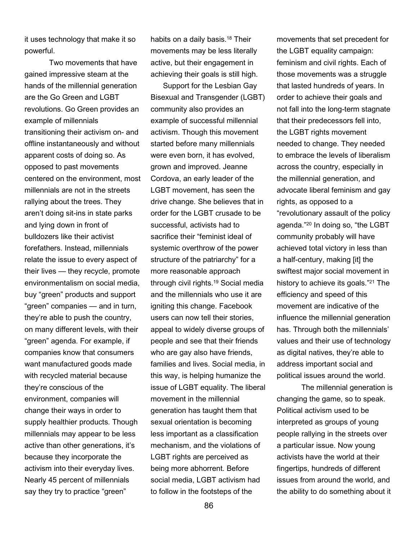it uses technology that make it so powerful.

 Two movements that have gained impressive steam at the hands of the millennial generation are the Go Green and LGBT revolutions. Go Green provides an example of millennials transitioning their activism on- and offline instantaneously and without apparent costs of doing so. As opposed to past movements centered on the environment, most millennials are not in the streets rallying about the trees. They aren't doing sit-ins in state parks and lying down in front of bulldozers like their activist forefathers. Instead, millennials relate the issue to every aspect of their lives — they recycle, promote environmentalism on social media, buy "green" products and support "green" companies — and in turn, they're able to push the country, on many different levels, with their "green" agenda. For example, if companies know that consumers want manufactured goods made with recycled material because they're conscious of the environment, companies will change their ways in order to supply healthier products. Though millennials may appear to be less active than other generations, it's because they incorporate the activism into their everyday lives. Nearly 45 percent of millennials say they try to practice "green"

habits on a daily basis.<sup>18</sup> Their movements may be less literally active, but their engagement in achieving their goals is still high.

Support for the Lesbian Gay Bisexual and Transgender (LGBT) community also provides an example of successful millennial activism. Though this movement started before many millennials were even born, it has evolved, grown and improved. Jeanne Cordova, an early leader of the LGBT movement, has seen the drive change. She believes that in order for the LGBT crusade to be successful, activists had to sacrifice their "feminist ideal of systemic overthrow of the power structure of the patriarchy" for a more reasonable approach through civil rights.19 Social media and the millennials who use it are igniting this change. Facebook users can now tell their stories, appeal to widely diverse groups of people and see that their friends who are gay also have friends, families and lives. Social media, in this way, is helping humanize the issue of LGBT equality. The liberal movement in the millennial generation has taught them that sexual orientation is becoming less important as a classification mechanism, and the violations of LGBT rights are perceived as being more abhorrent. Before social media, LGBT activism had to follow in the footsteps of the

movements that set precedent for the LGBT equality campaign: feminism and civil rights. Each of those movements was a struggle that lasted hundreds of years. In order to achieve their goals and not fall into the long-term stagnate that their predecessors fell into, the LGBT rights movement needed to change. They needed to embrace the levels of liberalism across the country, especially in the millennial generation, and advocate liberal feminism and gay rights, as opposed to a "revolutionary assault of the policy agenda."20 In doing so, "the LGBT community probably will have achieved total victory in less than a half-century, making [it] the swiftest major social movement in history to achieve its goals."21 The efficiency and speed of this movement are indicative of the influence the millennial generation has. Through both the millennials' values and their use of technology as digital natives, they're able to address important social and political issues around the world.

 The millennial generation is changing the game, so to speak. Political activism used to be interpreted as groups of young people rallying in the streets over a particular issue. Now young activists have the world at their fingertips, hundreds of different issues from around the world, and the ability to do something about it